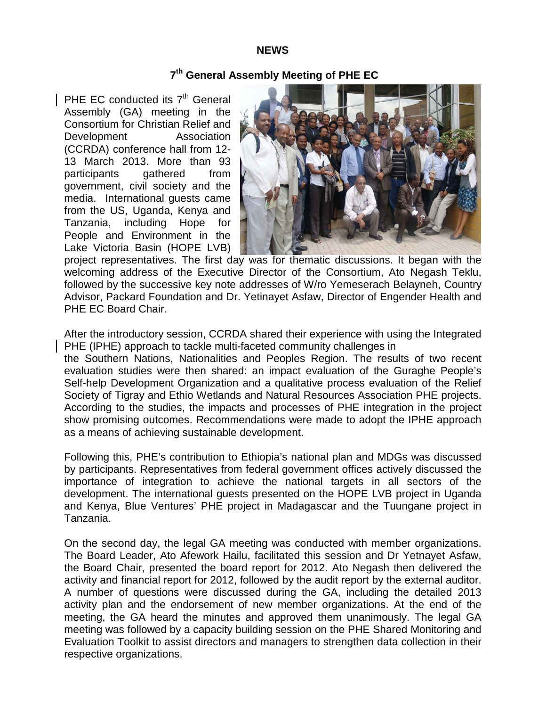#### **NEWS**

# **7th General Assembly Meeting of PHE EC**

PHE EC conducted its  $7<sup>th</sup>$  General Assembly (GA) meeting in the Consortium for Christian Relief and Development Association (CCRDA) conference hall from 12- 13 March 2013. More than 93 participants gathered from government, civil society and the media. International guests came from the US, Uganda, Kenya and Tanzania, including Hope for People and Environment in the Lake Victoria Basin (HOPE LVB)



project representatives. The first day was for thematic discussions. It began with the welcoming address of the Executive Director of the Consortium, Ato Negash Teklu, followed by the successive key note addresses of W/ro Yemeserach Belayneh, Country Advisor, Packard Foundation and Dr. Yetinayet Asfaw, Director of Engender Health and PHE EC Board Chair.

After the introductory session, CCRDA shared their experience with using the Integrated PHE (IPHE) approach to tackle multi-faceted community challenges in

the Southern Nations, Nationalities and Peoples Region. The results of two recent evaluation studies were then shared: an impact evaluation of the Guraghe People's Self-help Development Organization and a qualitative process evaluation of the Relief Society of Tigray and Ethio Wetlands and Natural Resources Association PHE projects. According to the studies, the impacts and processes of PHE integration in the project show promising outcomes. Recommendations were made to adopt the IPHE approach as a means of achieving sustainable development.

Following this, PHE's contribution to Ethiopia's national plan and MDGs was discussed by participants. Representatives from federal government offices actively discussed the importance of integration to achieve the national targets in all sectors of the development. The international guests presented on the HOPE LVB project in Uganda and Kenya, Blue Ventures' PHE project in Madagascar and the Tuungane project in Tanzania.

On the second day, the legal GA meeting was conducted with member organizations. The Board Leader, Ato Afework Hailu, facilitated this session and Dr Yetnayet Asfaw, the Board Chair, presented the board report for 2012. Ato Negash then delivered the activity and financial report for 2012, followed by the audit report by the external auditor. A number of questions were discussed during the GA, including the detailed 2013 activity plan and the endorsement of new member organizations. At the end of the meeting, the GA heard the minutes and approved them unanimously. The legal GA meeting was followed by a capacity building session on the PHE Shared Monitoring and Evaluation Toolkit to assist directors and managers to strengthen data collection in their respective organizations.